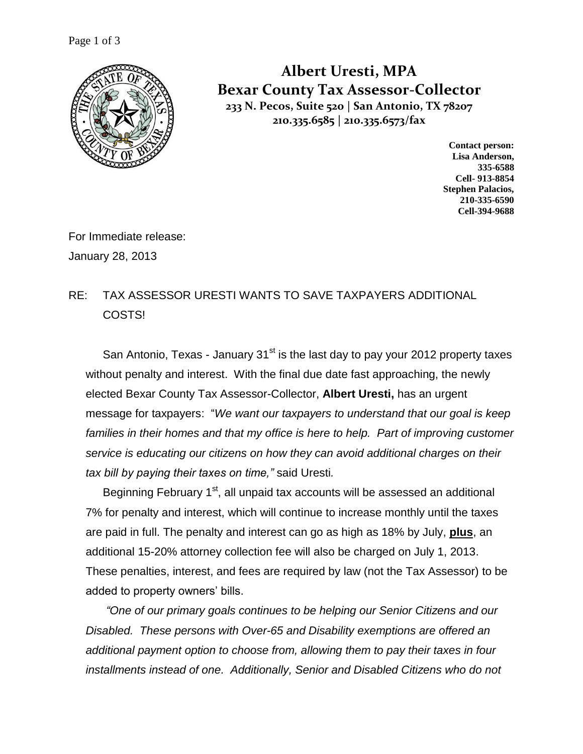

**Albert Uresti, MPA Bexar County Tax Assessor-Collector 233 N. Pecos, Suite 520 | San Antonio, TX 78207 210.335.6585 | 210.335.6573/fax**

> **Contact person: Lisa Anderson, 335-6588 Cell- 913-8854 Stephen Palacios, 210-335-6590 Cell-394-9688**

For Immediate release: January 28, 2013

## RE: TAX ASSESSOR URESTI WANTS TO SAVE TAXPAYERS ADDITIONAL COSTS!

San Antonio, Texas - January  $31<sup>st</sup>$  is the last day to pay your 2012 property taxes without penalty and interest. With the final due date fast approaching, the newly elected Bexar County Tax Assessor-Collector, **Albert Uresti,** has an urgent message for taxpayers: "*We want our taxpayers to understand that our goal is keep*  families in their homes and that my office is here to help. Part of improving customer *service is educating our citizens on how they can avoid additional charges on their tax bill by paying their taxes on time,"* said Uresti*.* 

Beginning February 1<sup>st</sup>, all unpaid tax accounts will be assessed an additional 7% for penalty and interest, which will continue to increase monthly until the taxes are paid in full. The penalty and interest can go as high as 18% by July, **plus**, an additional 15-20% attorney collection fee will also be charged on July 1, 2013. These penalties, interest, and fees are required by law (not the Tax Assessor) to be added to property owners' bills.

*"One of our primary goals continues to be helping our Senior Citizens and our Disabled. These persons with Over-65 and Disability exemptions are offered an additional payment option to choose from, allowing them to pay their taxes in four installments instead of one. Additionally, Senior and Disabled Citizens who do not*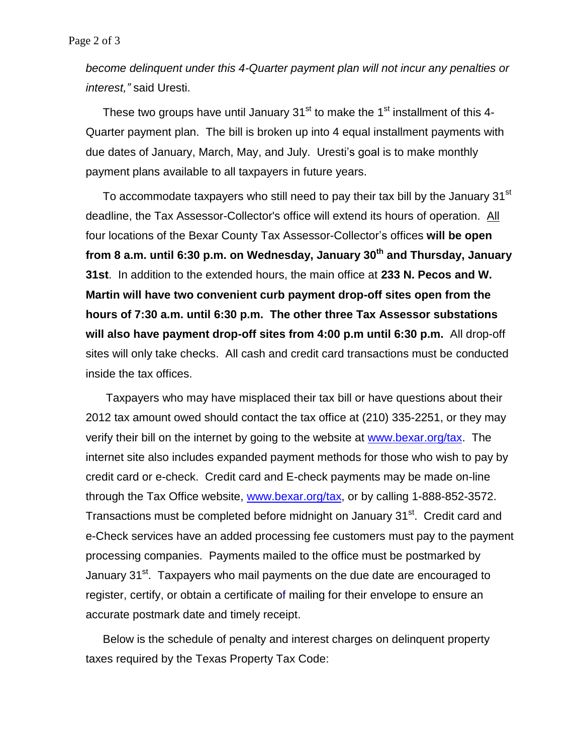*become delinquent under this 4-Quarter payment plan will not incur any penalties or interest,"* said Uresti.

These two groups have until January  $31<sup>st</sup>$  to make the  $1<sup>st</sup>$  installment of this 4-Quarter payment plan. The bill is broken up into 4 equal installment payments with due dates of January, March, May, and July. Uresti's goal is to make monthly payment plans available to all taxpayers in future years.

To accommodate taxpayers who still need to pay their tax bill by the January 31<sup>st</sup> deadline, the Tax Assessor-Collector's office will extend its hours of operation. All four locations of the Bexar County Tax Assessor-Collector's offices **will be open from 8 a.m. until 6:30 p.m. on Wednesday, January 30th and Thursday, January 31st**. In addition to the extended hours, the main office at **233 N. Pecos and W. Martin will have two convenient curb payment drop-off sites open from the hours of 7:30 a.m. until 6:30 p.m. The other three Tax Assessor substations will also have payment drop-off sites from 4:00 p.m until 6:30 p.m.** All drop-off sites will only take checks. All cash and credit card transactions must be conducted inside the tax offices.

Taxpayers who may have misplaced their tax bill or have questions about their 2012 tax amount owed should contact the tax office at (210) 335-2251, or they may verify their bill on the internet by going to the website at [www.bexar.org/tax.](http://www.bexar.org/tax) The internet site also includes expanded payment methods for those who wish to pay by credit card or e-check. Credit card and E-check payments may be made on-line through the Tax Office website, www.bexar.org/tax, or by calling 1-888-852-3572. Transactions must be completed before midnight on January 31<sup>st</sup>. Credit card and e-Check services have an added processing fee customers must pay to the payment processing companies. Payments mailed to the office must be postmarked by January 31<sup>st</sup>. Taxpayers who mail payments on the due date are encouraged to register, certify, or obtain a certificate of mailing for their envelope to ensure an accurate postmark date and timely receipt.

Below is the schedule of penalty and interest charges on delinquent property taxes required by the Texas Property Tax Code: